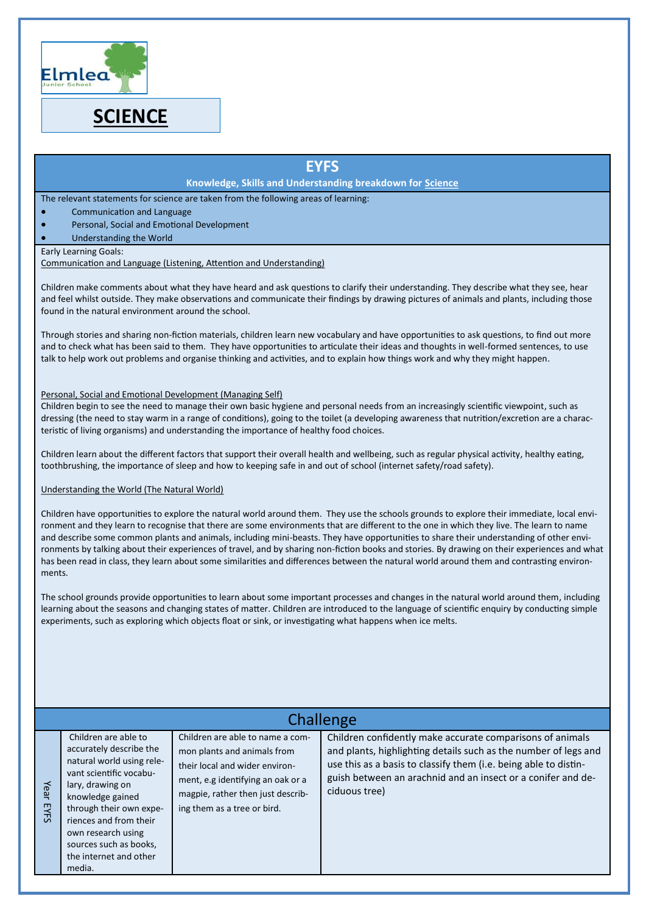

### **SCIENCE**

### **EYFS**

#### **Knowledge, Skills and Understanding breakdown for Science**

The relevant statements for science are taken from the following areas of learning:

- Communication and Language
- Personal, Social and Emotional Development
- Understanding the World

Early Learning Goals:

Communication and Language (Listening, Attention and Understanding)

Children make comments about what they have heard and ask questions to clarify their understanding. They describe what they see, hear and feel whilst outside. They make observations and communicate their findings by drawing pictures of animals and plants, including those found in the natural environment around the school.

Through stories and sharing non-fiction materials, children learn new vocabulary and have opportunities to ask questions, to find out more and to check what has been said to them. They have opportunities to articulate their ideas and thoughts in well-formed sentences, to use talk to help work out problems and organise thinking and activities, and to explain how things work and why they might happen.

#### Personal, Social and Emotional Development (Managing Self)

Children begin to see the need to manage their own basic hygiene and personal needs from an increasingly scientific viewpoint, such as dressing (the need to stay warm in a range of conditions), going to the toilet (a developing awareness that nutrition/excretion are a characteristic of living organisms) and understanding the importance of healthy food choices.

Children learn about the different factors that support their overall health and wellbeing, such as regular physical activity, healthy eating, toothbrushing, the importance of sleep and how to keeping safe in and out of school (internet safety/road safety).

#### Understanding the World (The Natural World)

Children have opportunities to explore the natural world around them. They use the schools grounds to explore their immediate, local environment and they learn to recognise that there are some environments that are different to the one in which they live. The learn to name and describe some common plants and animals, including mini-beasts. They have opportunities to share their understanding of other environments by talking about their experiences of travel, and by sharing non-fiction books and stories. By drawing on their experiences and what has been read in class, they learn about some similarities and differences between the natural world around them and contrasting environments.

The school grounds provide opportunities to learn about some important processes and changes in the natural world around them, including learning about the seasons and changing states of matter. Children are introduced to the language of scientific enquiry by conducting simple experiments, such as exploring which objects float or sink, or investigating what happens when ice melts.

| Challenge    |                                                                                                                                                                                                                                                                                          |                                                                                                                                                                                                            |                                                                                                                                                                                                                                                                                   |  |  |  |  |
|--------------|------------------------------------------------------------------------------------------------------------------------------------------------------------------------------------------------------------------------------------------------------------------------------------------|------------------------------------------------------------------------------------------------------------------------------------------------------------------------------------------------------------|-----------------------------------------------------------------------------------------------------------------------------------------------------------------------------------------------------------------------------------------------------------------------------------|--|--|--|--|
| Year<br>EYFS | Children are able to<br>accurately describe the<br>natural world using rele-<br>vant scientific vocabu-<br>lary, drawing on<br>knowledge gained<br>through their own expe-<br>riences and from their<br>own research using<br>sources such as books,<br>the internet and other<br>media. | Children are able to name a com-<br>mon plants and animals from<br>their local and wider environ-<br>ment, e.g identifying an oak or a<br>magpie, rather then just describ-<br>ing them as a tree or bird. | Children confidently make accurate comparisons of animals<br>and plants, highlighting details such as the number of legs and<br>use this as a basis to classify them (i.e. being able to distin-<br>guish between an arachnid and an insect or a conifer and de-<br>ciduous tree) |  |  |  |  |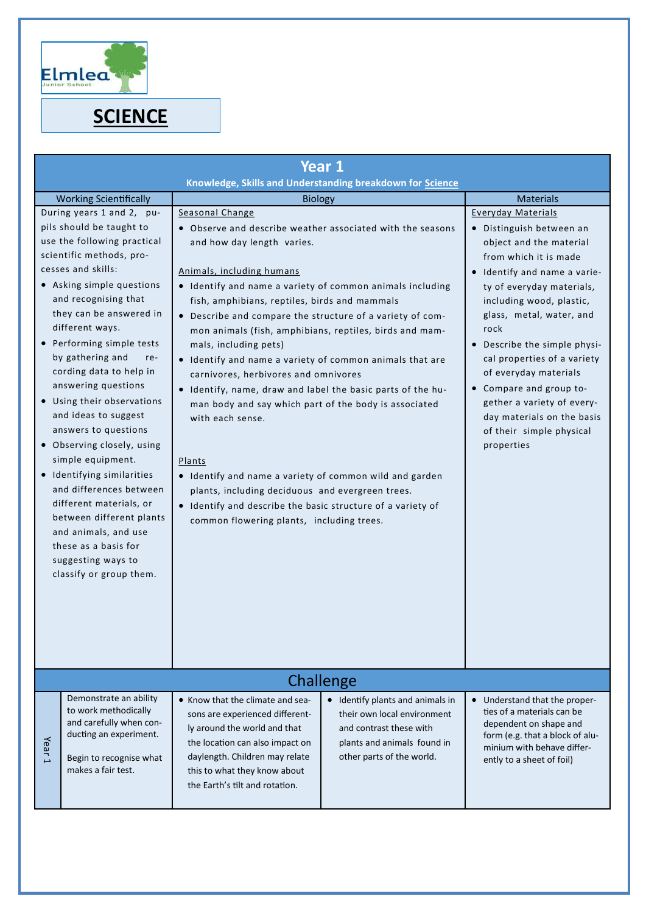

# **SCIENCE**

| <b>Year 1</b>                                             |                                                                                                                                                                                                                                                                                                                                                                                                                                                                                                                                                                                                                                                                                                                                                                                                                                                                                                                                                                                                                                                                                                                                                                                                                                                                                                                                                                                                                                                                                                                                                                                                       |                                                                                                                                                                                                                                            |                                                                                                                                                        |                                                                                                                                                                                                                                                                                                                                                                                                                                                                            |  |  |  |  |
|-----------------------------------------------------------|-------------------------------------------------------------------------------------------------------------------------------------------------------------------------------------------------------------------------------------------------------------------------------------------------------------------------------------------------------------------------------------------------------------------------------------------------------------------------------------------------------------------------------------------------------------------------------------------------------------------------------------------------------------------------------------------------------------------------------------------------------------------------------------------------------------------------------------------------------------------------------------------------------------------------------------------------------------------------------------------------------------------------------------------------------------------------------------------------------------------------------------------------------------------------------------------------------------------------------------------------------------------------------------------------------------------------------------------------------------------------------------------------------------------------------------------------------------------------------------------------------------------------------------------------------------------------------------------------------|--------------------------------------------------------------------------------------------------------------------------------------------------------------------------------------------------------------------------------------------|--------------------------------------------------------------------------------------------------------------------------------------------------------|----------------------------------------------------------------------------------------------------------------------------------------------------------------------------------------------------------------------------------------------------------------------------------------------------------------------------------------------------------------------------------------------------------------------------------------------------------------------------|--|--|--|--|
| Knowledge, Skills and Understanding breakdown for Science |                                                                                                                                                                                                                                                                                                                                                                                                                                                                                                                                                                                                                                                                                                                                                                                                                                                                                                                                                                                                                                                                                                                                                                                                                                                                                                                                                                                                                                                                                                                                                                                                       |                                                                                                                                                                                                                                            |                                                                                                                                                        |                                                                                                                                                                                                                                                                                                                                                                                                                                                                            |  |  |  |  |
|                                                           | <b>Working Scientifically</b>                                                                                                                                                                                                                                                                                                                                                                                                                                                                                                                                                                                                                                                                                                                                                                                                                                                                                                                                                                                                                                                                                                                                                                                                                                                                                                                                                                                                                                                                                                                                                                         | <b>Biology</b>                                                                                                                                                                                                                             |                                                                                                                                                        | <b>Materials</b>                                                                                                                                                                                                                                                                                                                                                                                                                                                           |  |  |  |  |
|                                                           | During years 1 and 2, pu-<br>Seasonal Change<br>pils should be taught to<br>• Observe and describe weather associated with the seasons<br>use the following practical<br>and how day length varies.<br>scientific methods, pro-<br>cesses and skills:<br>Animals, including humans<br>• Asking simple questions<br>• Identify and name a variety of common animals including<br>and recognising that<br>fish, amphibians, reptiles, birds and mammals<br>they can be answered in<br>• Describe and compare the structure of a variety of com-<br>different ways.<br>mon animals (fish, amphibians, reptiles, birds and mam-<br>• Performing simple tests<br>mals, including pets)<br>by gathering and<br>re-<br>• Identify and name a variety of common animals that are<br>cording data to help in<br>carnivores, herbivores and omnivores<br>answering questions<br>• Identify, name, draw and label the basic parts of the hu-<br>• Using their observations<br>man body and say which part of the body is associated<br>and ideas to suggest<br>with each sense.<br>answers to questions<br>• Observing closely, using<br>simple equipment.<br>Plants<br>• Identifying similarities<br>• Identify and name a variety of common wild and garden<br>and differences between<br>plants, including deciduous and evergreen trees.<br>different materials, or<br>• Identify and describe the basic structure of a variety of<br>between different plants<br>common flowering plants, including trees.<br>and animals, and use<br>these as a basis for<br>suggesting ways to<br>classify or group them. |                                                                                                                                                                                                                                            |                                                                                                                                                        | <b>Everyday Materials</b><br>• Distinguish between an<br>object and the material<br>from which it is made<br>Identify and name a varie-<br>$\bullet$<br>ty of everyday materials,<br>including wood, plastic,<br>glass, metal, water, and<br>rock<br>• Describe the simple physi-<br>cal properties of a variety<br>of everyday materials<br>• Compare and group to-<br>gether a variety of every-<br>day materials on the basis<br>of their simple physical<br>properties |  |  |  |  |
| Challenge                                                 |                                                                                                                                                                                                                                                                                                                                                                                                                                                                                                                                                                                                                                                                                                                                                                                                                                                                                                                                                                                                                                                                                                                                                                                                                                                                                                                                                                                                                                                                                                                                                                                                       |                                                                                                                                                                                                                                            |                                                                                                                                                        |                                                                                                                                                                                                                                                                                                                                                                                                                                                                            |  |  |  |  |
| Year <sub>1</sub>                                         | Demonstrate an ability<br>to work methodically<br>and carefully when con-<br>ducting an experiment.<br>Begin to recognise what<br>makes a fair test.                                                                                                                                                                                                                                                                                                                                                                                                                                                                                                                                                                                                                                                                                                                                                                                                                                                                                                                                                                                                                                                                                                                                                                                                                                                                                                                                                                                                                                                  | • Know that the climate and sea-<br>sons are experienced different-<br>ly around the world and that<br>the location can also impact on<br>daylength. Children may relate<br>this to what they know about<br>the Earth's tilt and rotation. | • Identify plants and animals in<br>their own local environment<br>and contrast these with<br>plants and animals found in<br>other parts of the world. | • Understand that the proper-<br>ties of a materials can be<br>dependent on shape and<br>form (e.g. that a block of alu-<br>minium with behave differ-<br>ently to a sheet of foil)                                                                                                                                                                                                                                                                                        |  |  |  |  |